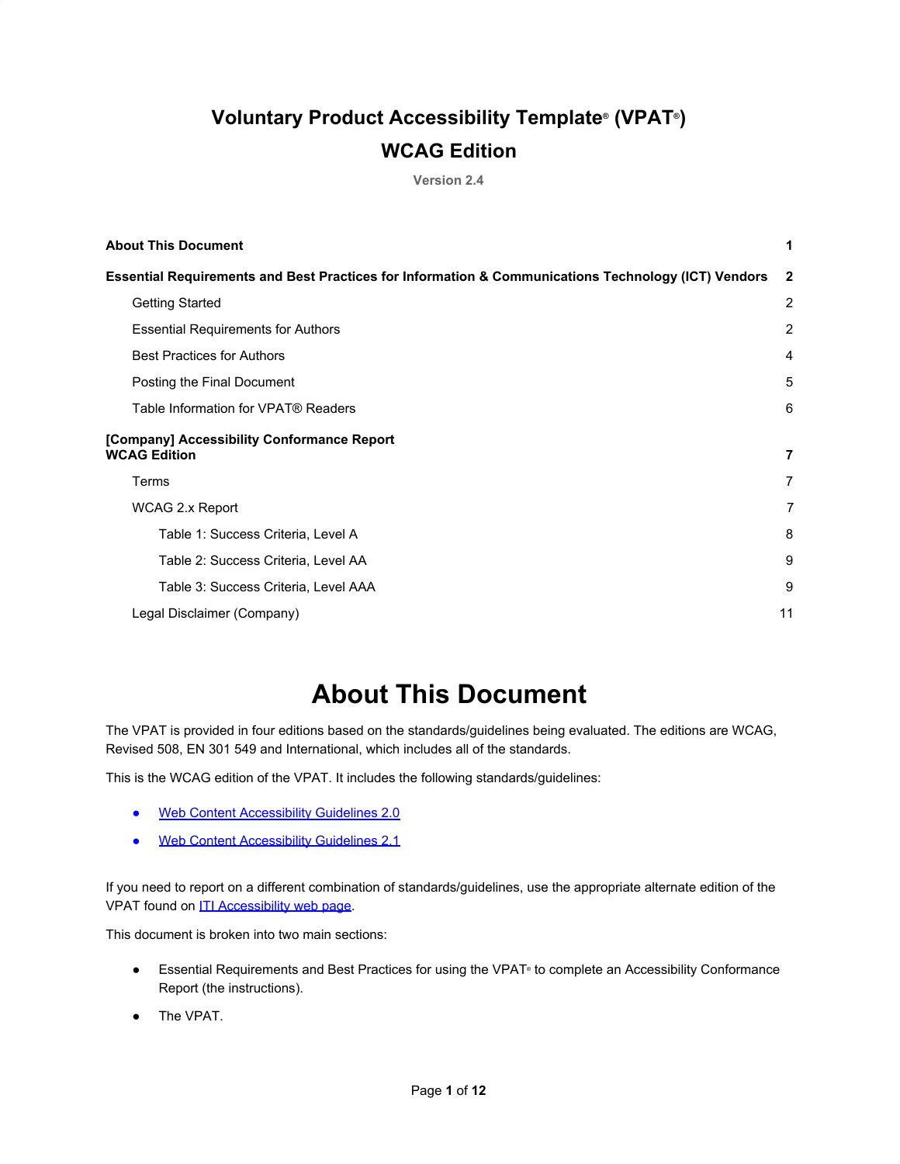### **Voluntary Product Accessibility Template® (VPAT®) WCAG Edition**

**Version 2.4**

| <b>About This Document</b>                                                                          | 1              |
|-----------------------------------------------------------------------------------------------------|----------------|
| Essential Requirements and Best Practices for Information & Communications Technology (ICT) Vendors | $\mathbf{2}$   |
| <b>Getting Started</b>                                                                              | 2              |
| <b>Essential Requirements for Authors</b>                                                           | 2              |
| <b>Best Practices for Authors</b>                                                                   | 4              |
| Posting the Final Document                                                                          | 5              |
| Table Information for VPAT® Readers                                                                 | 6              |
| [Company] Accessibility Conformance Report<br><b>WCAG Edition</b>                                   | $\overline{7}$ |
| Terms                                                                                               | $\overline{7}$ |
| <b>WCAG 2.x Report</b>                                                                              | 7              |
| Table 1: Success Criteria, Level A                                                                  | 8              |
| Table 2: Success Criteria, Level AA                                                                 | 9              |
| Table 3: Success Criteria, Level AAA                                                                | 9              |
| Legal Disclaimer (Company)                                                                          | 11             |

## **About This Document**

<span id="page-0-0"></span>The VPAT is provided in four editions based on the standards/guidelines being evaluated. The editions are WCAG, Revised 508, EN 301 549 and International, which includes all of the standards.

This is the WCAG edition of the VPAT. It includes the following standards/guidelines:

- [Web Content Accessibility Guidelines 2.0](http://www.w3.org/TR/2008/REC-WCAG20-20081211)
- [Web Content Accessibility Guidelines 2.1](https://www.w3.org/TR/WCAG21)

If you need to report on a different combination of standards/guidelines, use the appropriate alternate edition of the VPAT found on **[ITI Accessibility web page](https://www.itic.org/policy/accessibility/vpat)**.

This document is broken into two main sections:

- Essential Requirements and Best Practices for using the VPAT® to complete an Accessibility Conformance Report (the instructions).
- The VPAT.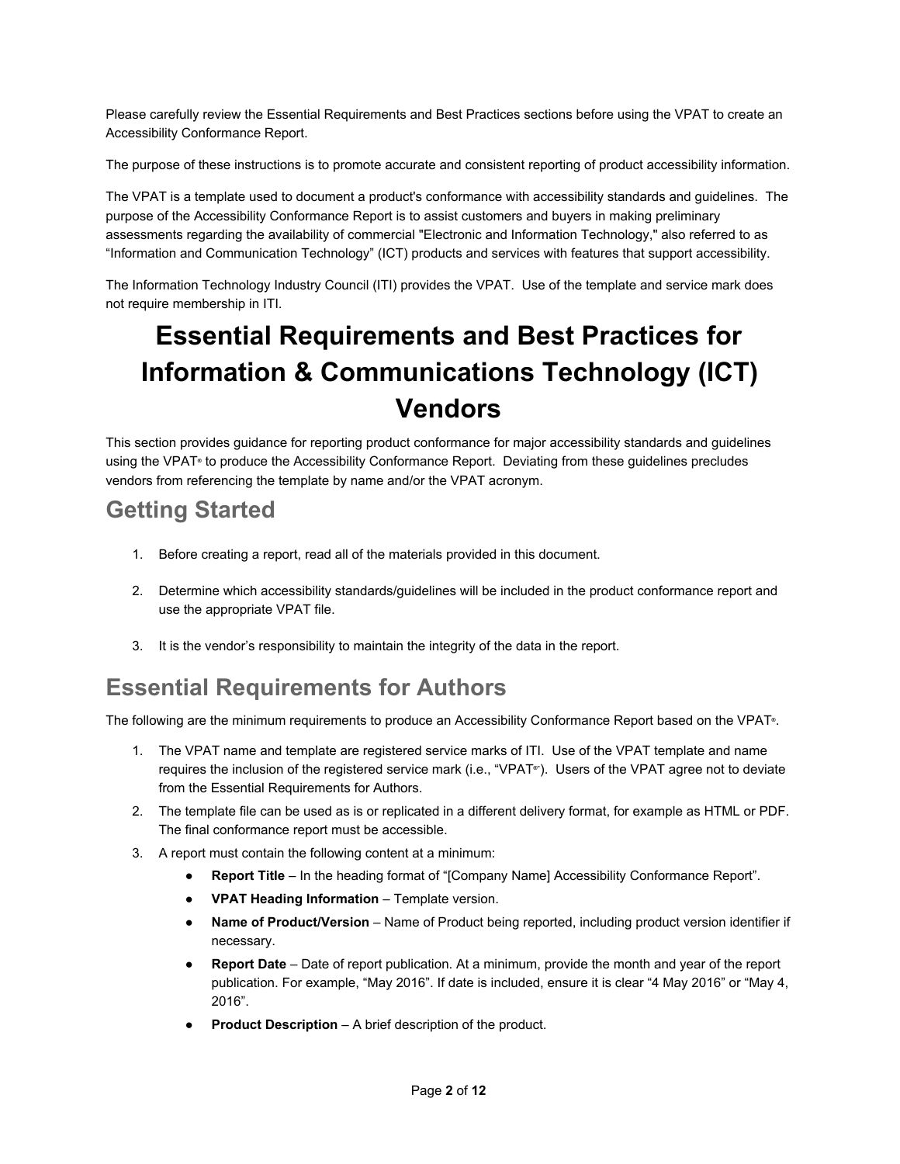Please carefully review the Essential Requirements and Best Practices sections before using the VPAT to create an Accessibility Conformance Report.

The purpose of these instructions is to promote accurate and consistent reporting of product accessibility information.

The VPAT is a template used to document a product's conformance with accessibility standards and guidelines. The purpose of the Accessibility Conformance Report is to assist customers and buyers in making preliminary assessments regarding the availability of commercial "Electronic and Information Technology," also referred to as "Information and Communication Technology" (ICT) products and services with features that support accessibility.

The Information Technology Industry Council (ITI) provides the VPAT. Use of the template and service mark does not require membership in ITI.

# <span id="page-1-0"></span>**Essential Requirements and Best Practices for Information & Communications Technology (ICT) Vendors**

This section provides guidance for reporting product conformance for major accessibility standards and guidelines using the VPAT**®** to produce the Accessibility Conformance Report. Deviating from these guidelines precludes vendors from referencing the template by name and/or the VPAT acronym.

### <span id="page-1-1"></span>**Getting Started**

- 1. Before creating a report, read all of the materials provided in this document.
- 2. Determine which accessibility standards/guidelines will be included in the product conformance report and use the appropriate VPAT file.
- 3. It is the vendor's responsibility to maintain the integrity of the data in the report.

### <span id="page-1-2"></span>**Essential Requirements for Authors**

The following are the minimum requirements to produce an Accessibility Conformance Report based on the VPAT**®** .

- 1. The VPAT name and template are registered service marks of ITI. Use of the VPAT template and name requires the inclusion of the registered service mark (i.e., "VPAT**®"**). Users of the VPAT agree not to deviate from the Essential Requirements for Authors.
- 2. The template file can be used as is or replicated in a different delivery format, for example as HTML or PDF. The final conformance report must be accessible.
- 3. A report must contain the following content at a minimum:
	- **Report Title**  In the heading format of "[Company Name] Accessibility Conformance Report".
	- **VPAT Heading Information Template version.**
	- **Name of Product/Version**  Name of Product being reported, including product version identifier if necessary.
	- **Report Date**  Date of report publication. At a minimum, provide the month and year of the report publication. For example, "May 2016". If date is included, ensure it is clear "4 May 2016" or "May 4, 2016".
	- **Product Description A brief description of the product.**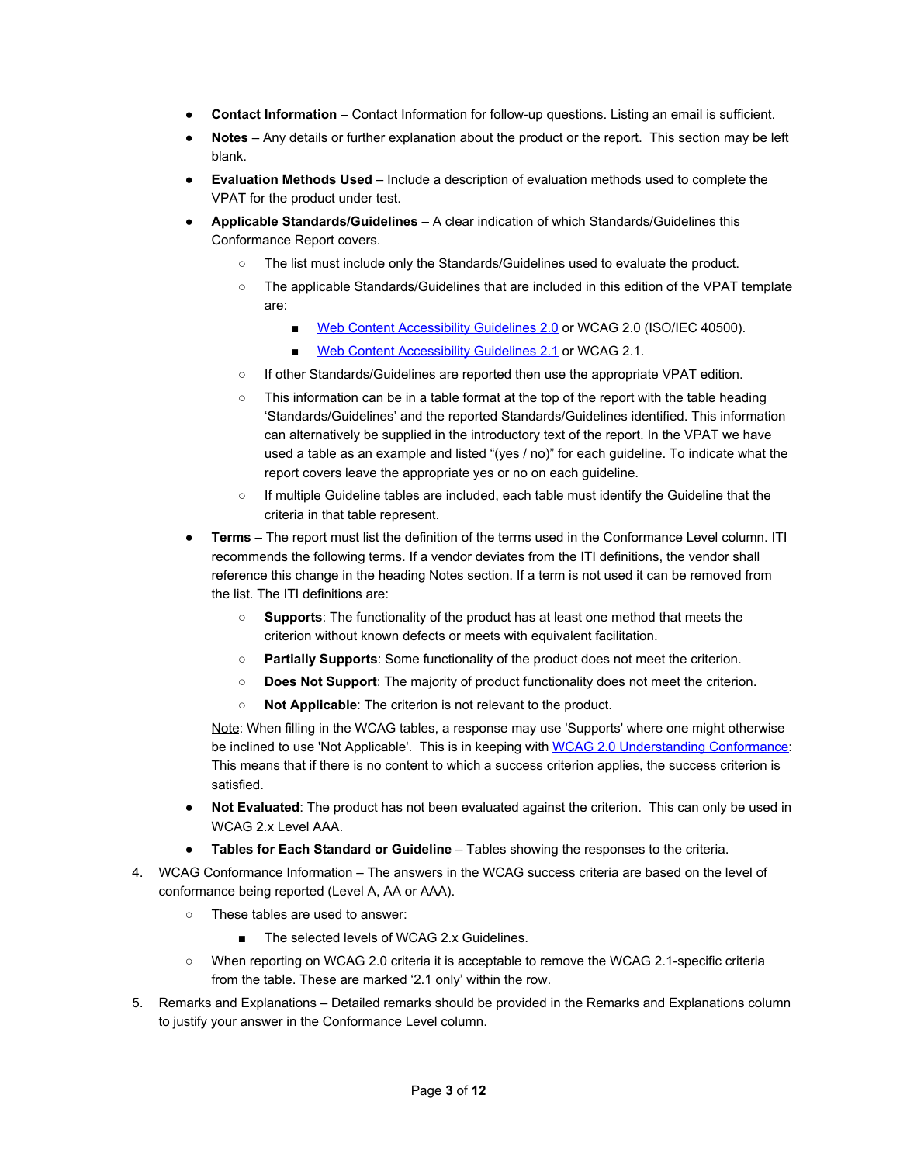- **Contact Information**  Contact Information for follow-up questions. Listing an email is sufficient.
- Notes Any details or further explanation about the product or the report. This section may be left blank.
- **Evaluation Methods Used**  Include a description of evaluation methods used to complete the VPAT for the product under test.
- **Applicable Standards/Guidelines**  A clear indication of which Standards/Guidelines this Conformance Report covers.
	- The list must include only the Standards/Guidelines used to evaluate the product.
	- The applicable Standards/Guidelines that are included in this edition of the VPAT template are:
		- [Web Content Accessibility Guidelines 2.0](http://www.w3.org/TR/2008/REC-WCAG20-20081211) or WCAG 2.0 (ISO/IEC 40500).
		- [Web Content Accessibility Guidelines 2.1](https://www.w3.org/TR/WCAG21) or WCAG 2.1.
	- If other Standards/Guidelines are reported then use the appropriate VPAT edition.
	- This information can be in a table format at the top of the report with the table heading 'Standards/Guidelines' and the reported Standards/Guidelines identified. This information can alternatively be supplied in the introductory text of the report. In the VPAT we have used a table as an example and listed "(yes / no)" for each guideline. To indicate what the report covers leave the appropriate yes or no on each guideline.
	- If multiple Guideline tables are included, each table must identify the Guideline that the criteria in that table represent.
- **Terms**  The report must list the definition of the terms used in the Conformance Level column. ITI recommends the following terms. If a vendor deviates from the ITI definitions, the vendor shall reference this change in the heading Notes section. If a term is not used it can be removed from the list. The ITI definitions are:
	- **Supports**: The functionality of the product has at least one method that meets the criterion without known defects or meets with equivalent facilitation.
	- **Partially Supports**: Some functionality of the product does not meet the criterion.
	- **Does Not Support**: The majority of product functionality does not meet the criterion.
	- **Not Applicable**: The criterion is not relevant to the product.

Note: When filling in the WCAG tables, a response may use 'Supports' where one might otherwise be inclined to use 'Not Applicable'. This is in keeping with [WCAG 2.0 Understanding Conformance:](https://www.w3.org/TR/UNDERSTANDING-WCAG20/conformance.html) This means that if there is no content to which a success criterion applies, the success criterion is satisfied.

- **Not Evaluated**: The product has not been evaluated against the criterion. This can only be used in WCAG 2.x Level AAA.
- **Tables for Each Standard or Guideline** Tables showing the responses to the criteria.
- 4. WCAG Conformance Information The answers in the WCAG success criteria are based on the level of conformance being reported (Level A, AA or AAA).
	- These tables are used to answer:
		- The selected levels of WCAG 2.x Guidelines.
	- When reporting on WCAG 2.0 criteria it is acceptable to remove the WCAG 2.1-specific criteria from the table. These are marked '2.1 only' within the row.
- 5. Remarks and Explanations Detailed remarks should be provided in the Remarks and Explanations column to justify your answer in the Conformance Level column.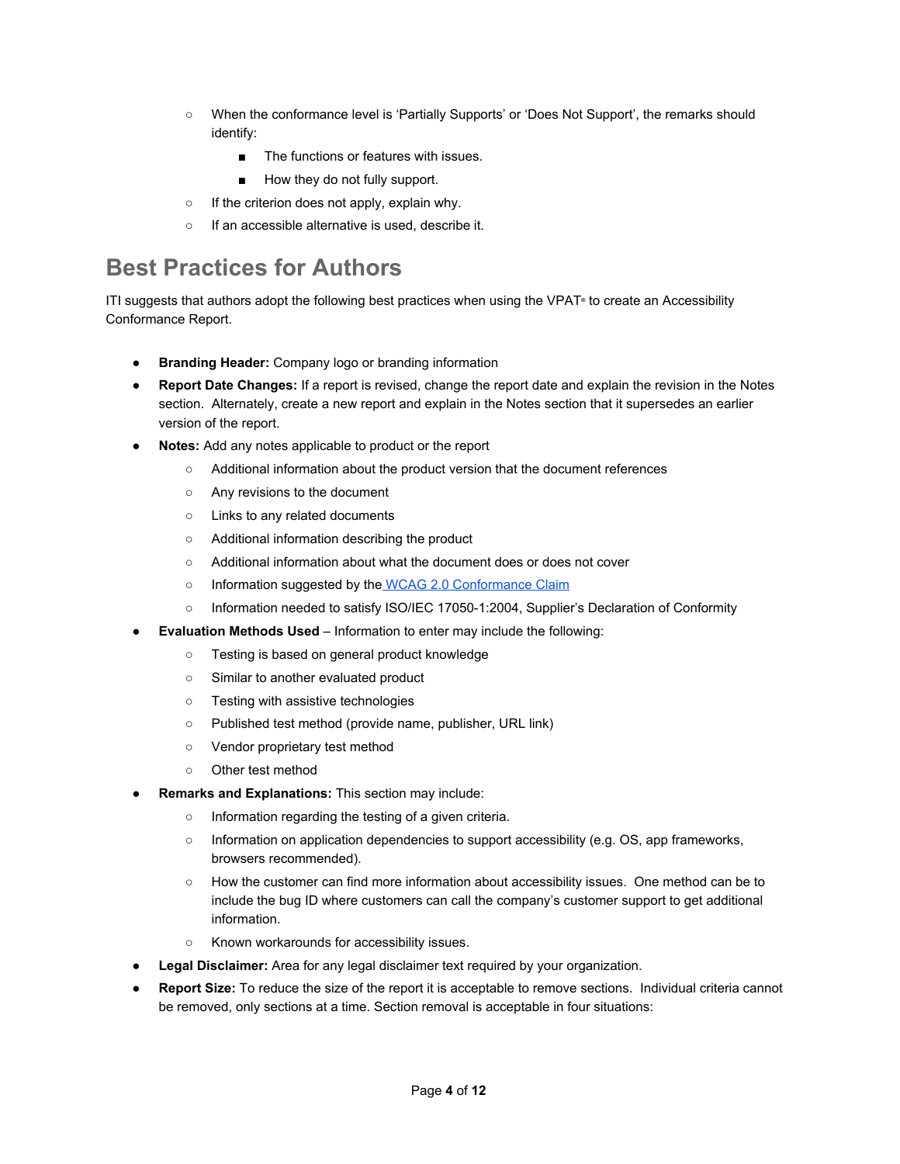- When the conformance level is 'Partially Supports' or 'Does Not Support', the remarks should identify:
	- The functions or features with issues.
	- How they do not fully support.
- If the criterion does not apply, explain why.
- If an accessible alternative is used, describe it.

### <span id="page-3-0"></span>**Best Practices for Authors**

ITI suggests that authors adopt the following best practices when using the VPAT**®** to create an Accessibility Conformance Report.

- **Branding Header:** Company logo or branding information
- **Report Date Changes:** If a report is revised, change the report date and explain the revision in the Notes section. Alternately, create a new report and explain in the Notes section that it supersedes an earlier version of the report.
- **Notes:** Add any notes applicable to product or the report
	- Additional information about the product version that the document references
	- Any revisions to the document
	- Links to any related documents
	- Additional information describing the product
	- Additional information about what the document does or does not cover
	- Information suggested by the [WCAG 2.0 Conformance Claim](http://www.w3.org/TR/WCAG20/#conformance-claims)
	- Information needed to satisfy ISO/IEC 17050-1:2004, Supplier's Declaration of Conformity
- **Evaluation Methods Used** Information to enter may include the following:
	- Testing is based on general product knowledge
	- Similar to another evaluated product
	- Testing with assistive technologies
	- Published test method (provide name, publisher, URL link)
	- Vendor proprietary test method
	- Other test method
- **Remarks and Explanations: This section may include:** 
	- Information regarding the testing of a given criteria.
	- Information on application dependencies to support accessibility (e.g. OS, app frameworks, browsers recommended).
	- How the customer can find more information about accessibility issues. One method can be to include the bug ID where customers can call the company's customer support to get additional information.
	- Known workarounds for accessibility issues.
- **Legal Disclaimer:** Area for any legal disclaimer text required by your organization.
- **Report Size:** To reduce the size of the report it is acceptable to remove sections. Individual criteria cannot be removed, only sections at a time. Section removal is acceptable in four situations: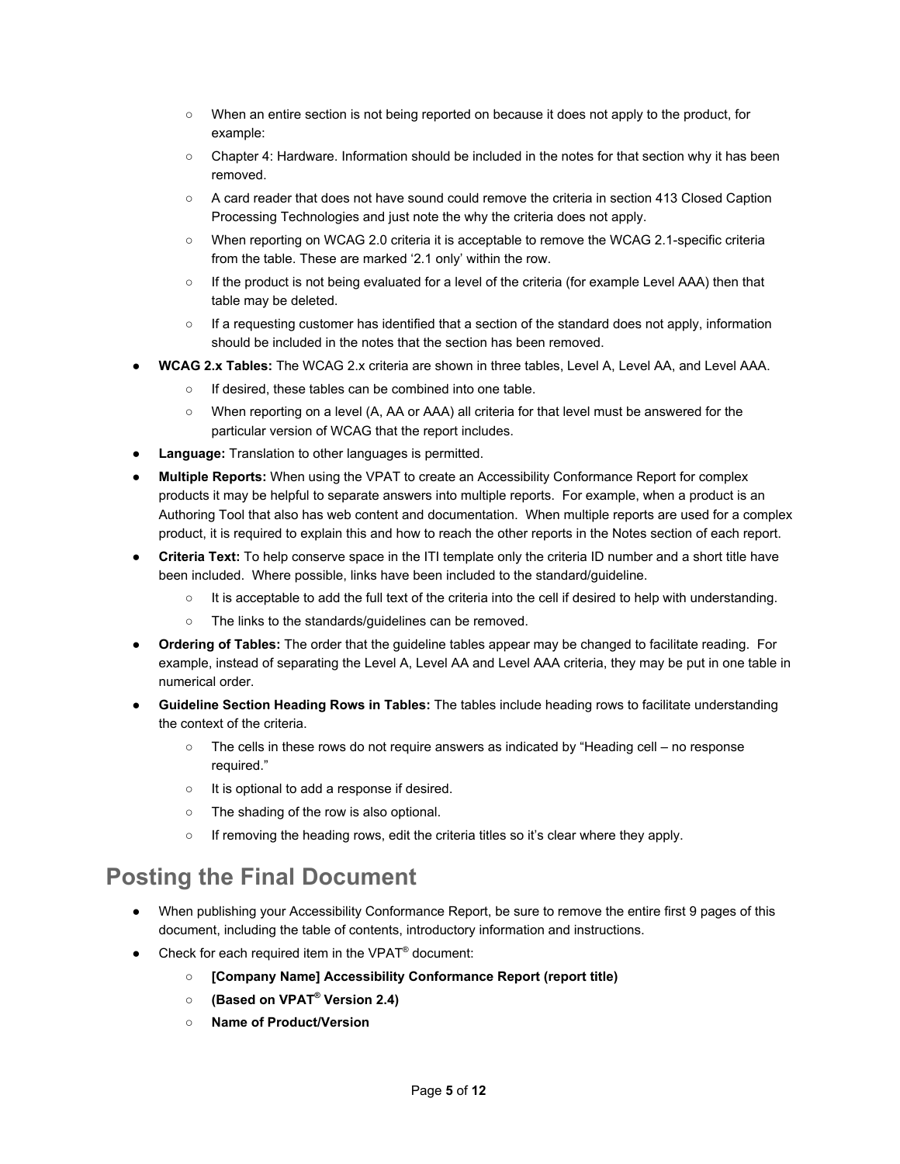- When an entire section is not being reported on because it does not apply to the product, for example:
- Chapter 4: Hardware. Information should be included in the notes for that section why it has been removed.
- A card reader that does not have sound could remove the criteria in section 413 Closed Caption Processing Technologies and just note the why the criteria does not apply.
- When reporting on WCAG 2.0 criteria it is acceptable to remove the WCAG 2.1-specific criteria from the table. These are marked '2.1 only' within the row.
- If the product is not being evaluated for a level of the criteria (for example Level AAA) then that table may be deleted.
- If a requesting customer has identified that a section of the standard does not apply, information should be included in the notes that the section has been removed.
- **WCAG 2.x Tables:** The WCAG 2.x criteria are shown in three tables, Level A, Level AA, and Level AAA.
	- If desired, these tables can be combined into one table.
	- When reporting on a level (A, AA or AAA) all criteria for that level must be answered for the particular version of WCAG that the report includes.
- **Language:** Translation to other languages is permitted.
- **Multiple Reports:** When using the VPAT to create an Accessibility Conformance Report for complex products it may be helpful to separate answers into multiple reports. For example, when a product is an Authoring Tool that also has web content and documentation. When multiple reports are used for a complex product, it is required to explain this and how to reach the other reports in the Notes section of each report.
- **Criteria Text:** To help conserve space in the ITI template only the criteria ID number and a short title have been included. Where possible, links have been included to the standard/guideline.
	- It is acceptable to add the full text of the criteria into the cell if desired to help with understanding.
	- The links to the standards/guidelines can be removed.
- **Ordering of Tables:** The order that the guideline tables appear may be changed to facilitate reading. For example, instead of separating the Level A, Level AA and Level AAA criteria, they may be put in one table in numerical order.
- **Guideline Section Heading Rows in Tables:** The tables include heading rows to facilitate understanding the context of the criteria.
	- $\circ$  The cells in these rows do not require answers as indicated by "Heading cell no response required."
	- It is optional to add a response if desired.
	- The shading of the row is also optional.
	- If removing the heading rows, edit the criteria titles so it's clear where they apply.

### <span id="page-4-0"></span>**Posting the Final Document**

- When publishing your Accessibility Conformance Report, be sure to remove the entire first 9 pages of this document, including the table of contents, introductory information and instructions.
- $\bullet$  Check for each required item in the VPAT<sup>®</sup> document:
	- **○ [Company Name] Accessibility Conformance Report (report title)**
	- **○ (Based on VPAT® Version 2.4)**
	- **○ Name of Product/Version**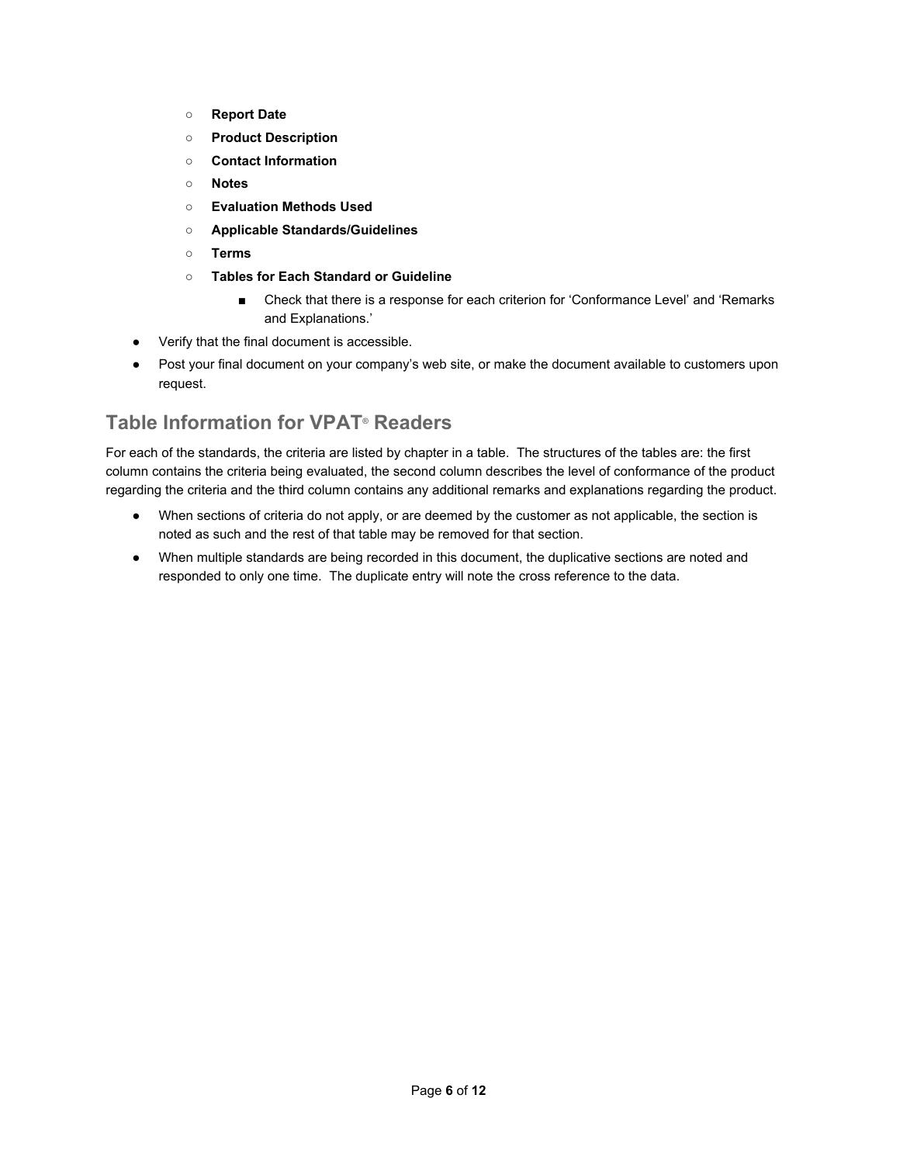- **○ Report Date**
- **○ Product Description**
- **○ Contact Information**
- **○ Notes**
- **○ Evaluation Methods Used**
- **○ Applicable Standards/Guidelines**
- **○ Terms**
- **○ Tables for Each Standard or Guideline**
	- Check that there is a response for each criterion for 'Conformance Level' and 'Remarks and Explanations.'
- Verify that the final document is accessible.
- Post your final document on your company's web site, or make the document available to customers upon request.

#### <span id="page-5-0"></span>**Table Information for VPAT® Readers**

For each of the standards, the criteria are listed by chapter in a table. The structures of the tables are: the first column contains the criteria being evaluated, the second column describes the level of conformance of the product regarding the criteria and the third column contains any additional remarks and explanations regarding the product.

- When sections of criteria do not apply, or are deemed by the customer as not applicable, the section is noted as such and the rest of that table may be removed for that section.
- When multiple standards are being recorded in this document, the duplicative sections are noted and responded to only one time. The duplicate entry will note the cross reference to the data.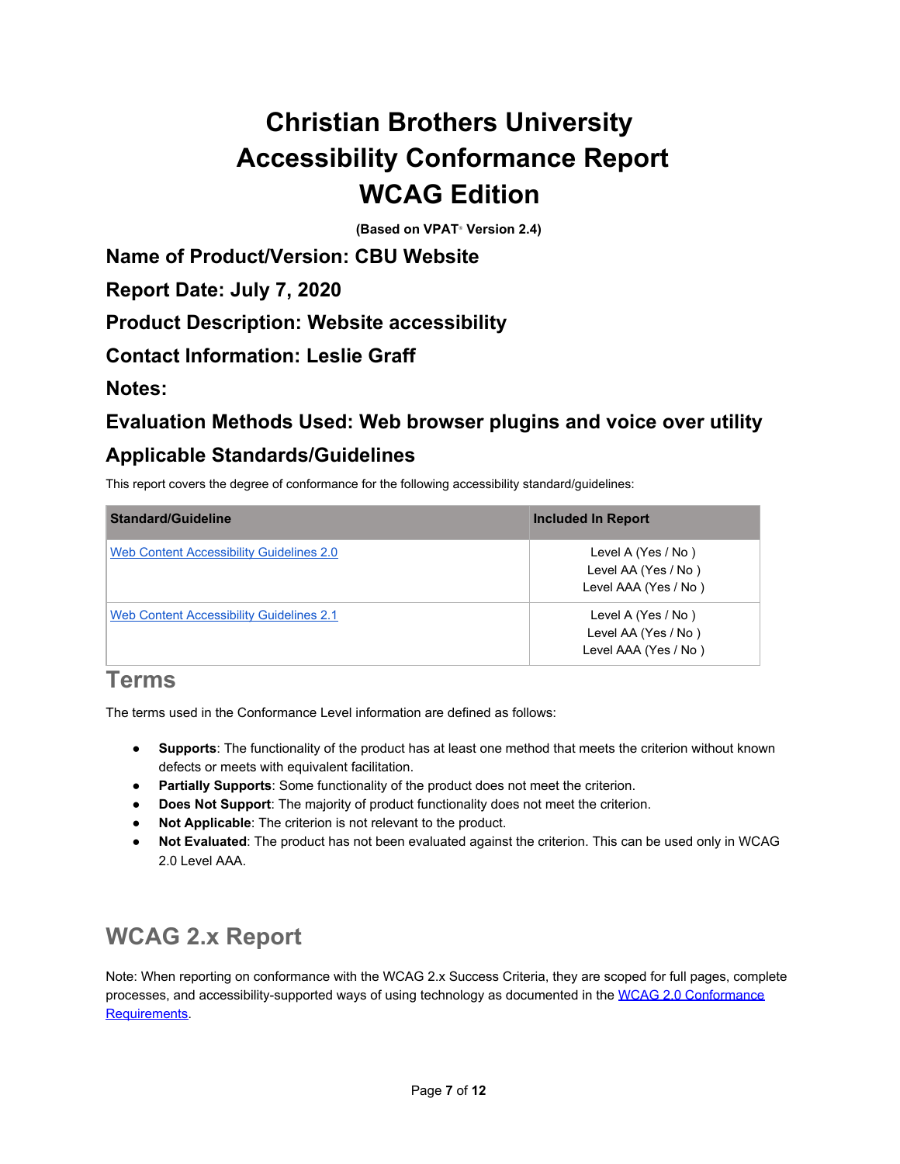# <span id="page-6-0"></span>**Christian Brothers University Accessibility Conformance Report WCAG Edition**

**(Based on VPAT**®  **Version 2.4)**

**Name of Product/Version: CBU Website**

**Report Date: July 7, 2020**

**Product Description: Website accessibility**

**Contact Information: Leslie Graff**

**Notes:**

### **Evaluation Methods Used: Web browser plugins and voice over utility Applicable Standards/Guidelines**

This report covers the degree of conformance for the following accessibility standard/guidelines:

| <b>Standard/Guideline</b>                | <b>Included In Report</b> |
|------------------------------------------|---------------------------|
| Web Content Accessibility Guidelines 2.0 | Level A (Yes / No)        |
|                                          | Level AA (Yes / No)       |
|                                          | Level AAA (Yes / No)      |
| Web Content Accessibility Guidelines 2.1 | Level A (Yes / No)        |
|                                          | Level AA (Yes / No)       |
|                                          | Level AAA (Yes / No)      |

#### <span id="page-6-1"></span>**Terms**

The terms used in the Conformance Level information are defined as follows:

- **Supports**: The functionality of the product has at least one method that meets the criterion without known defects or meets with equivalent facilitation.
- **Partially Supports**: Some functionality of the product does not meet the criterion.
- **Does Not Support**: The majority of product functionality does not meet the criterion.
- **Not Applicable**: The criterion is not relevant to the product.
- **Not Evaluated**: The product has not been evaluated against the criterion. This can be used only in WCAG 2.0 Level AAA.

### <span id="page-6-2"></span>**WCAG 2.x Report**

Note: When reporting on conformance with the WCAG 2.x Success Criteria, they are scoped for full pages, complete processes, and accessibility-supported ways of using technology as documented in the [WCAG 2.0 Conformance](https://www.w3.org/TR/WCAG20/#conformance-reqs) [Requirements](https://www.w3.org/TR/WCAG20/#conformance-reqs).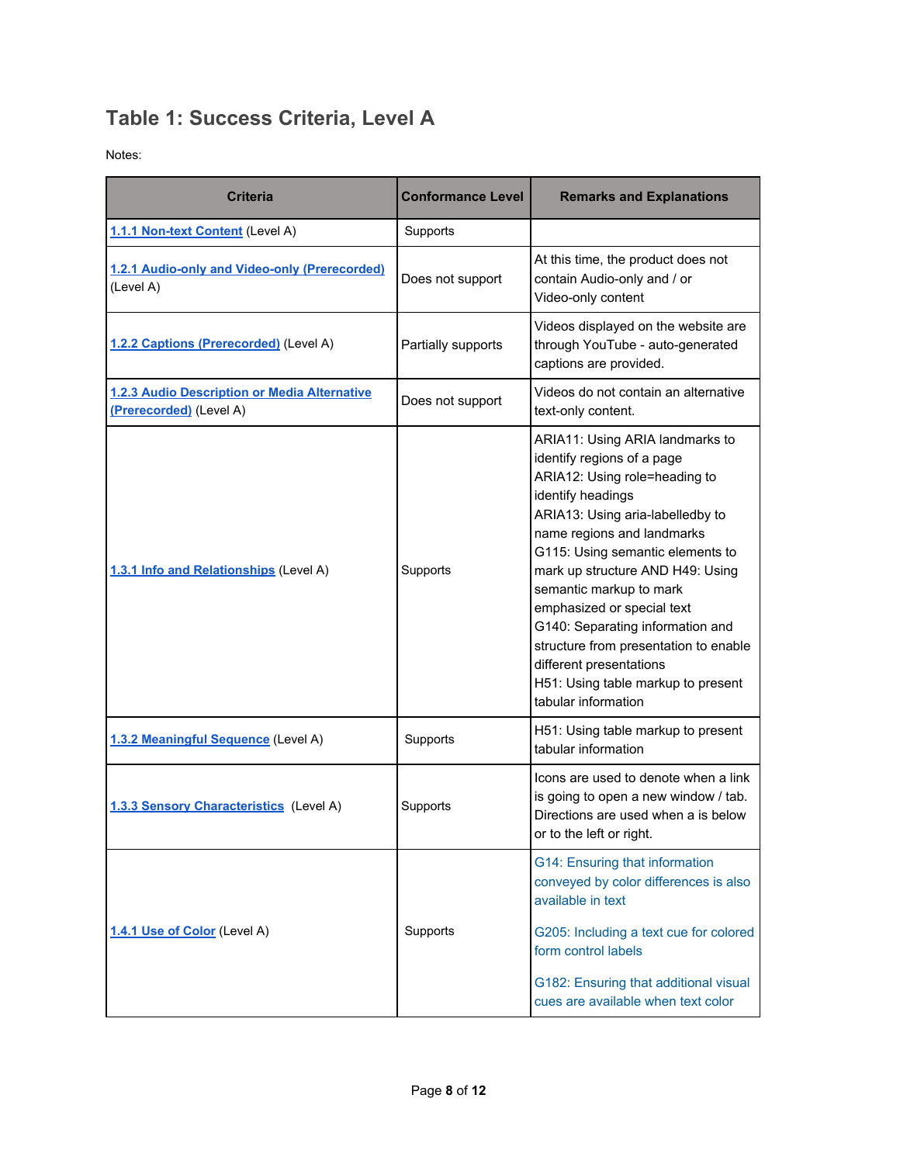### <span id="page-7-0"></span>**Table 1: Success Criteria, Level A**

Notes:

| <b>Criteria</b>                                                         | <b>Conformance Level</b> | <b>Remarks and Explanations</b>                                                                                                                                                                                                                                                                                                                                                                                                                                                             |
|-------------------------------------------------------------------------|--------------------------|---------------------------------------------------------------------------------------------------------------------------------------------------------------------------------------------------------------------------------------------------------------------------------------------------------------------------------------------------------------------------------------------------------------------------------------------------------------------------------------------|
| 1.1.1 Non-text Content (Level A)                                        | Supports                 |                                                                                                                                                                                                                                                                                                                                                                                                                                                                                             |
| 1.2.1 Audio-only and Video-only (Prerecorded)<br>(Level A)              | Does not support         | At this time, the product does not<br>contain Audio-only and / or<br>Video-only content                                                                                                                                                                                                                                                                                                                                                                                                     |
| 1.2.2 Captions (Prerecorded) (Level A)                                  | Partially supports       | Videos displayed on the website are<br>through YouTube - auto-generated<br>captions are provided.                                                                                                                                                                                                                                                                                                                                                                                           |
| 1.2.3 Audio Description or Media Alternative<br>(Prerecorded) (Level A) | Does not support         | Videos do not contain an alternative<br>text-only content.                                                                                                                                                                                                                                                                                                                                                                                                                                  |
| 1.3.1 Info and Relationships (Level A)                                  | Supports                 | ARIA11: Using ARIA landmarks to<br>identify regions of a page<br>ARIA12: Using role=heading to<br>identify headings<br>ARIA13: Using aria-labelledby to<br>name regions and landmarks<br>G115: Using semantic elements to<br>mark up structure AND H49: Using<br>semantic markup to mark<br>emphasized or special text<br>G140: Separating information and<br>structure from presentation to enable<br>different presentations<br>H51: Using table markup to present<br>tabular information |
| 1.3.2 Meaningful Sequence (Level A)                                     | Supports                 | H51: Using table markup to present<br>tabular information                                                                                                                                                                                                                                                                                                                                                                                                                                   |
| 1.3.3 Sensory Characteristics (Level A)                                 | Supports                 | Icons are used to denote when a link<br>is going to open a new window / tab.<br>Directions are used when a is below<br>or to the left or right.                                                                                                                                                                                                                                                                                                                                             |
| 1.4.1 Use of Color (Level A)                                            | Supports                 | G14: Ensuring that information<br>conveyed by color differences is also<br>available in text<br>G205: Including a text cue for colored                                                                                                                                                                                                                                                                                                                                                      |
|                                                                         |                          | form control labels<br>G182: Ensuring that additional visual<br>cues are available when text color                                                                                                                                                                                                                                                                                                                                                                                          |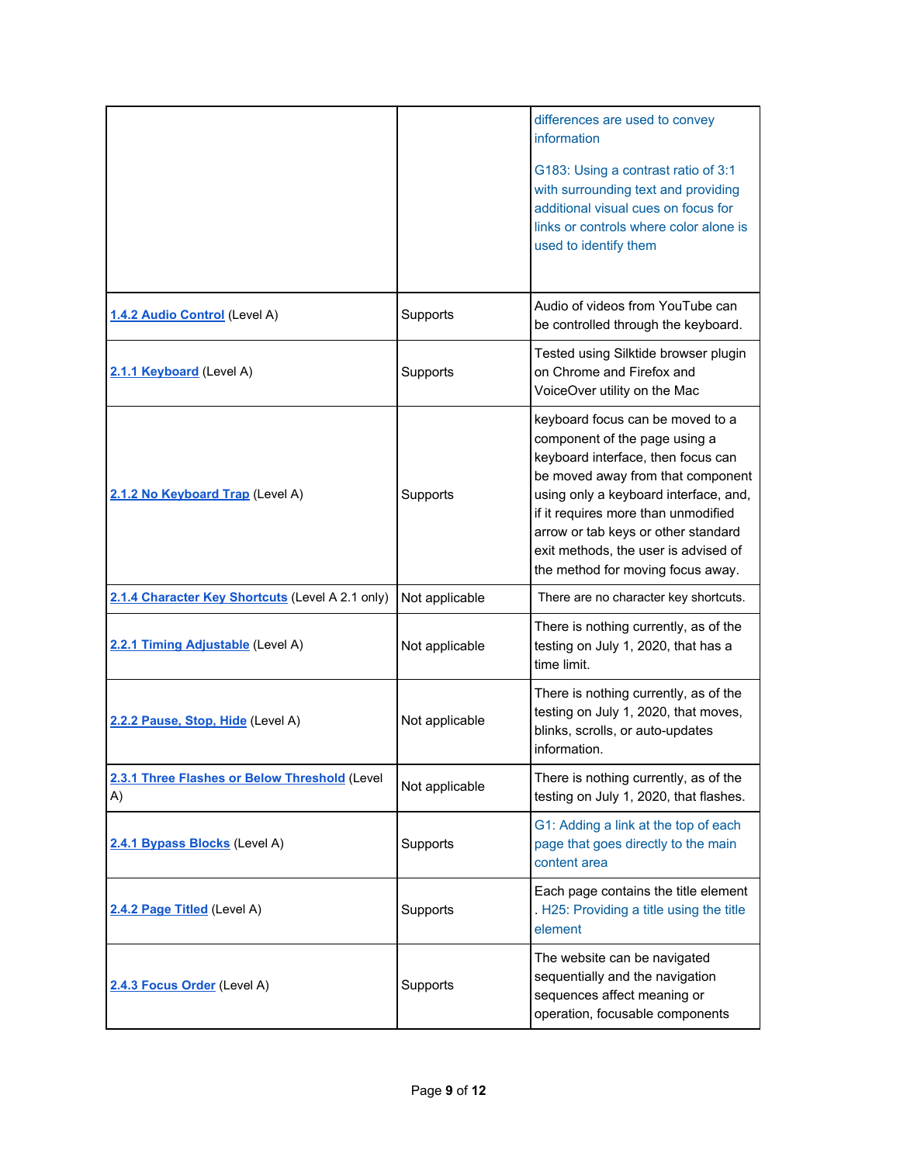|                                                     |                | differences are used to convey<br>information<br>G183: Using a contrast ratio of 3:1<br>with surrounding text and providing<br>additional visual cues on focus for<br>links or controls where color alone is<br>used to identify them                                                                                                            |
|-----------------------------------------------------|----------------|--------------------------------------------------------------------------------------------------------------------------------------------------------------------------------------------------------------------------------------------------------------------------------------------------------------------------------------------------|
| 1.4.2 Audio Control (Level A)                       | Supports       | Audio of videos from YouTube can<br>be controlled through the keyboard.                                                                                                                                                                                                                                                                          |
| 2.1.1 Keyboard (Level A)                            | Supports       | Tested using Silktide browser plugin<br>on Chrome and Firefox and<br>VoiceOver utility on the Mac                                                                                                                                                                                                                                                |
| 2.1.2 No Keyboard Trap (Level A)                    | Supports       | keyboard focus can be moved to a<br>component of the page using a<br>keyboard interface, then focus can<br>be moved away from that component<br>using only a keyboard interface, and,<br>if it requires more than unmodified<br>arrow or tab keys or other standard<br>exit methods, the user is advised of<br>the method for moving focus away. |
| 2.1.4 Character Key Shortcuts (Level A 2.1 only)    | Not applicable | There are no character key shortcuts.                                                                                                                                                                                                                                                                                                            |
| 2.2.1 Timing Adjustable (Level A)                   | Not applicable | There is nothing currently, as of the<br>testing on July 1, 2020, that has a<br>time limit.                                                                                                                                                                                                                                                      |
| 2.2.2 Pause, Stop, Hide (Level A)                   | Not applicable | There is nothing currently, as of the<br>testing on July 1, 2020, that moves,<br>blinks, scrolls, or auto-updates<br>information.                                                                                                                                                                                                                |
| 2.3.1 Three Flashes or Below Threshold (Level<br>A) | Not applicable | There is nothing currently, as of the<br>testing on July 1, 2020, that flashes.                                                                                                                                                                                                                                                                  |
| 2.4.1 Bypass Blocks (Level A)                       | Supports       | G1: Adding a link at the top of each<br>page that goes directly to the main<br>content area                                                                                                                                                                                                                                                      |
| 2.4.2 Page Titled (Level A)                         | Supports       | Each page contains the title element<br>. H25: Providing a title using the title<br>element                                                                                                                                                                                                                                                      |
| 2.4.3 Focus Order (Level A)                         | Supports       | The website can be navigated<br>sequentially and the navigation<br>sequences affect meaning or<br>operation, focusable components                                                                                                                                                                                                                |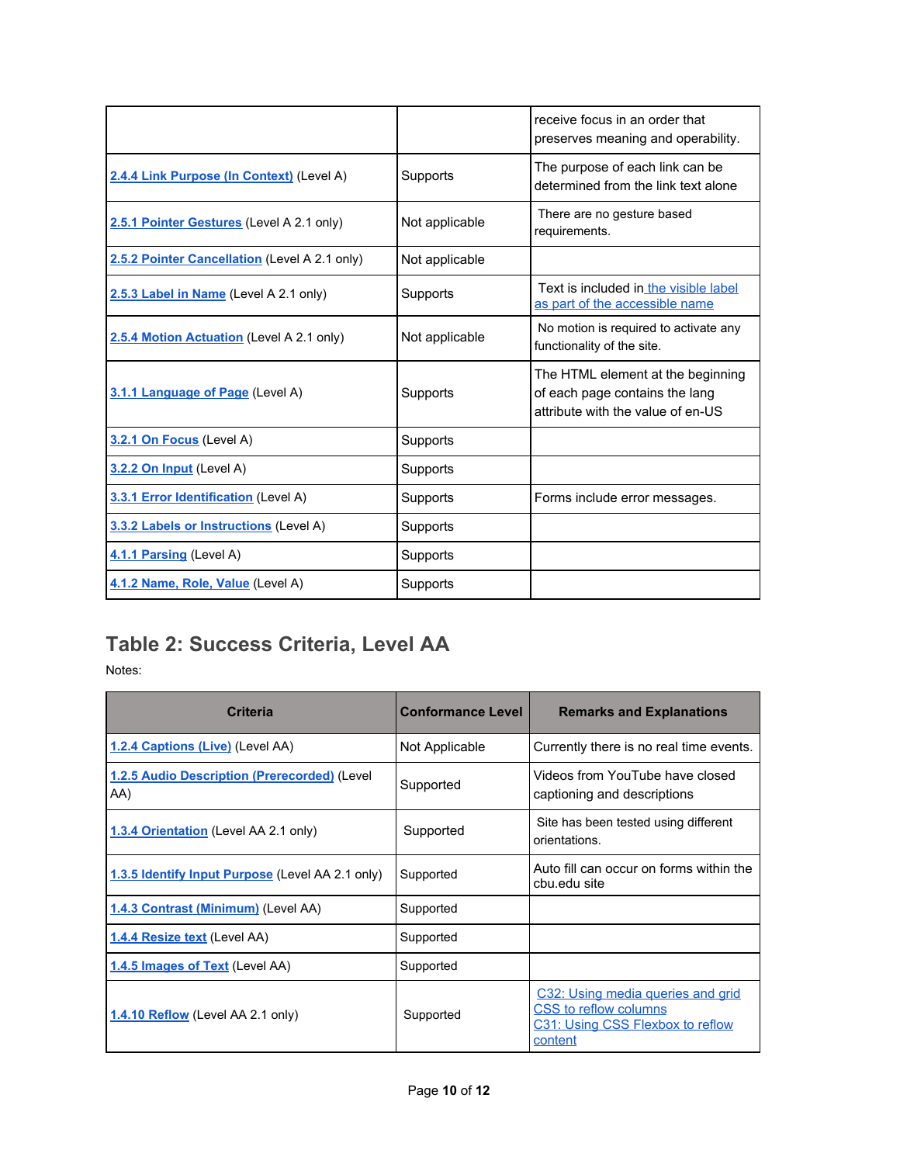|                                               |                 | receive focus in an order that<br>preserves meaning and operability.                                     |
|-----------------------------------------------|-----------------|----------------------------------------------------------------------------------------------------------|
| 2.4.4 Link Purpose (In Context) (Level A)     | Supports        | The purpose of each link can be<br>determined from the link text alone                                   |
| 2.5.1 Pointer Gestures (Level A 2.1 only)     | Not applicable  | There are no gesture based<br>requirements.                                                              |
| 2.5.2 Pointer Cancellation (Level A 2.1 only) | Not applicable  |                                                                                                          |
| 2.5.3 Label in Name (Level A 2.1 only)        | Supports        | Text is included in the visible label<br>as part of the accessible name                                  |
| 2.5.4 Motion Actuation (Level A 2.1 only)     | Not applicable  | No motion is required to activate any<br>functionality of the site.                                      |
| 3.1.1 Language of Page (Level A)              | <b>Supports</b> | The HTML element at the beginning<br>of each page contains the lang<br>attribute with the value of en-US |
| 3.2.1 On Focus (Level A)                      | Supports        |                                                                                                          |
| 3.2.2 On Input (Level A)                      | Supports        |                                                                                                          |
| 3.3.1 Error Identification (Level A)          | Supports        | Forms include error messages.                                                                            |
| 3.3.2 Labels or Instructions (Level A)        | <b>Supports</b> |                                                                                                          |
| 4.1.1 Parsing (Level A)                       | Supports        |                                                                                                          |
| 4.1.2 Name, Role, Value (Level A)             | Supports        |                                                                                                          |

### <span id="page-9-0"></span>**Table 2: Success Criteria, Level AA**

Notes:

| <b>Criteria</b>                                     | <b>Conformance Level</b> | <b>Remarks and Explanations</b>                                                                           |
|-----------------------------------------------------|--------------------------|-----------------------------------------------------------------------------------------------------------|
| 1.2.4 Captions (Live) (Level AA)                    | Not Applicable           | Currently there is no real time events.                                                                   |
| 1.2.5 Audio Description (Prerecorded) (Level<br>AA) | Supported                | Videos from YouTube have closed<br>captioning and descriptions                                            |
| 1.3.4 Orientation (Level AA 2.1 only)               | Supported                | Site has been tested using different<br>orientations.                                                     |
| 1.3.5 Identify Input Purpose (Level AA 2.1 only)    | Supported                | Auto fill can occur on forms within the<br>cbu.edu site                                                   |
| 1.4.3 Contrast (Minimum) (Level AA)                 | Supported                |                                                                                                           |
| 1.4.4 Resize text (Level AA)                        | Supported                |                                                                                                           |
| 1.4.5 Images of Text (Level AA)                     | Supported                |                                                                                                           |
| 1.4.10 Reflow (Level AA 2.1 only)                   | Supported                | C32: Using media queries and grid<br>CSS to reflow columns<br>C31: Using CSS Flexbox to reflow<br>content |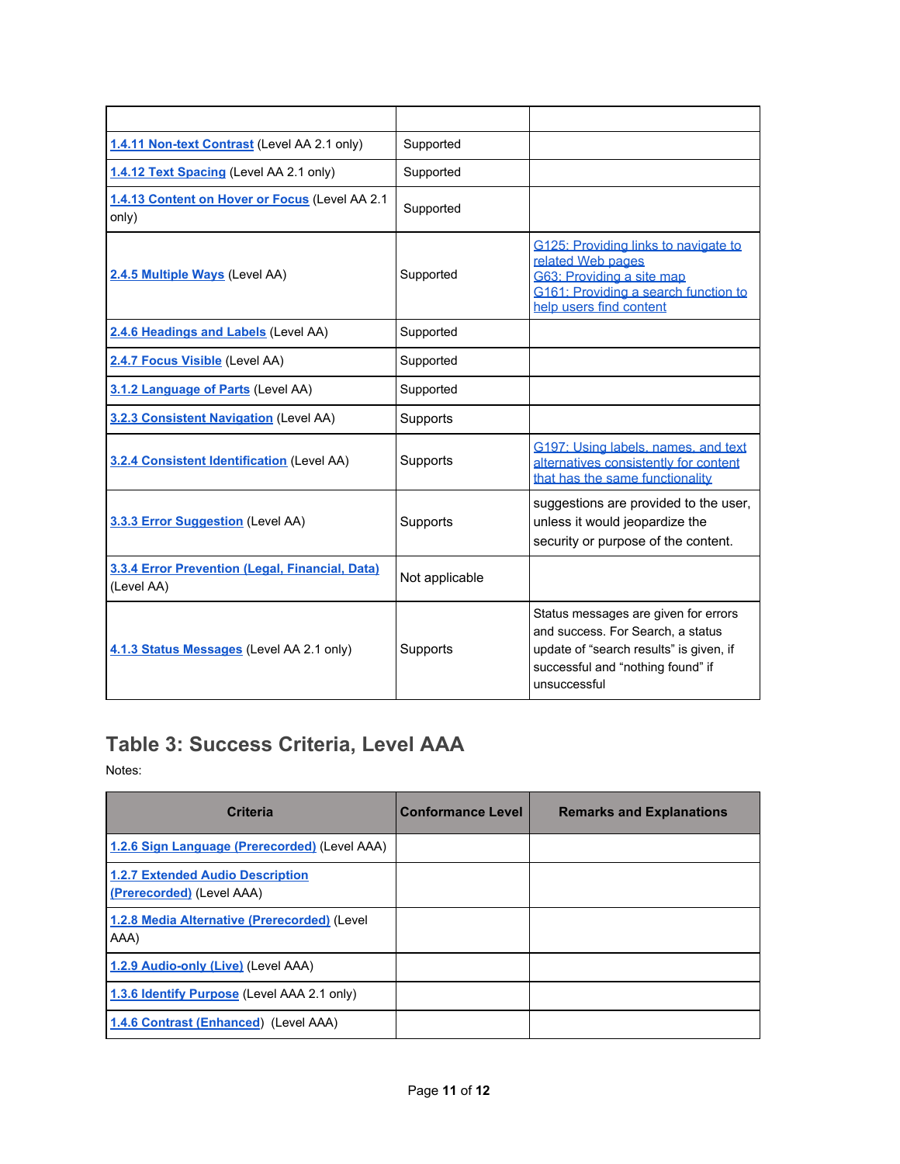| 1.4.11 Non-text Contrast (Level AA 2.1 only)                  | Supported      |                                                                                                                                                                           |
|---------------------------------------------------------------|----------------|---------------------------------------------------------------------------------------------------------------------------------------------------------------------------|
| 1.4.12 Text Spacing (Level AA 2.1 only)                       | Supported      |                                                                                                                                                                           |
| 1.4.13 Content on Hover or Focus (Level AA 2.1<br>only)       | Supported      |                                                                                                                                                                           |
| 2.4.5 Multiple Ways (Level AA)                                | Supported      | G125: Providing links to navigate to<br>related Web pages<br>G63: Providing a site map<br>G161: Providing a search function to<br>help users find content                 |
| 2.4.6 Headings and Labels (Level AA)                          | Supported      |                                                                                                                                                                           |
| 2.4.7 Focus Visible (Level AA)                                | Supported      |                                                                                                                                                                           |
| 3.1.2 Language of Parts (Level AA)                            | Supported      |                                                                                                                                                                           |
| 3.2.3 Consistent Navigation (Level AA)                        | Supports       |                                                                                                                                                                           |
| 3.2.4 Consistent Identification (Level AA)                    | Supports       | G197: Using labels, names, and text<br>alternatives consistently for content<br>that has the same functionality                                                           |
| 3.3.3 Error Suggestion (Level AA)                             | Supports       | suggestions are provided to the user,<br>unless it would jeopardize the<br>security or purpose of the content.                                                            |
| 3.3.4 Error Prevention (Legal, Financial, Data)<br>(Level AA) | Not applicable |                                                                                                                                                                           |
| 4.1.3 Status Messages (Level AA 2.1 only)                     | Supports       | Status messages are given for errors<br>and success. For Search, a status<br>update of "search results" is given, if<br>successful and "nothing found" if<br>unsuccessful |

### <span id="page-10-0"></span>**Table 3: Success Criteria, Level AAA**

Notes:

| <b>Criteria</b>                                                      | <b>Conformance Level</b> | <b>Remarks and Explanations</b> |
|----------------------------------------------------------------------|--------------------------|---------------------------------|
| 1.2.6 Sign Language (Prerecorded) (Level AAA)                        |                          |                                 |
| <b>1.2.7 Extended Audio Description</b><br>(Prerecorded) (Level AAA) |                          |                                 |
| 1.2.8 Media Alternative (Prerecorded) (Level<br>AAA)                 |                          |                                 |
| 1.2.9 Audio-only (Live) (Level AAA)                                  |                          |                                 |
| 1.3.6 Identify Purpose (Level AAA 2.1 only)                          |                          |                                 |
| 1.4.6 Contrast (Enhanced) (Level AAA)                                |                          |                                 |